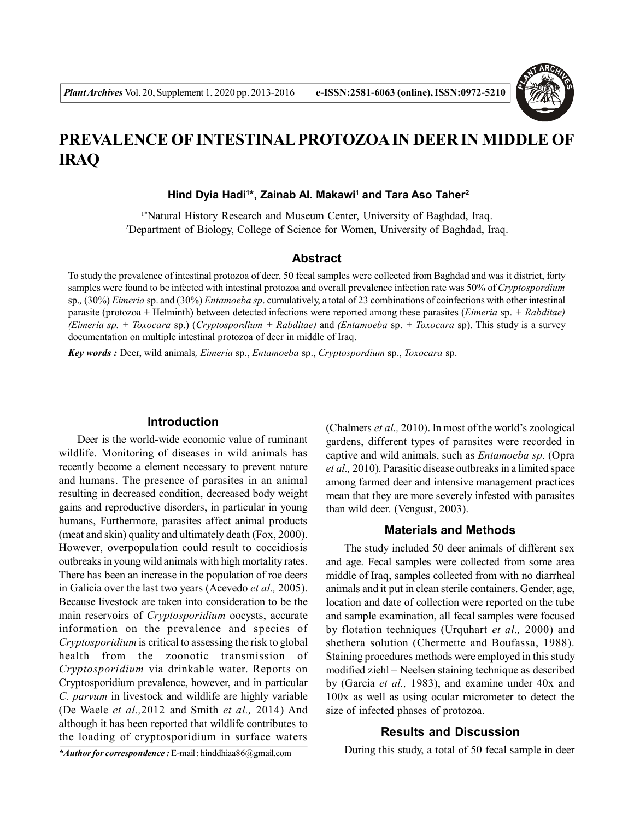

# **PREVALENCE OF INTESTINAL PROTOZOA IN DEER IN MIDDLE OF IRAQ**

#### **Hind Dyia Hadi<sup>1</sup> \*, Zainab Al. Makawi<sup>1</sup> and Tara Aso Taher<sup>2</sup>**

<sup>1\*</sup>Natural History Research and Museum Center, University of Baghdad, Iraq. <sup>2</sup>Department of Biology, College of Science for Women, University of Baghdad, Iraq.

#### **Abstract**

To study the prevalence of intestinal protozoa of deer, 50 fecal samples were collected from Baghdad and was it district, forty samples were found to be infected with intestinal protozoa and overall prevalence infection rate was 50% of *Cryptospordium* sp.*,* (30%) *Eimeria* sp. and (30%) *Entamoeba sp*. cumulatively, a total of 23 combinations of coinfections with other intestinal parasite (protozoa + Helminth) between detected infections were reported among these parasites (*Eimeria* sp. *+ Rabditae) (Eimeria sp. + Toxocara* sp.) (*Cryptospordium + Rabditae)* and *(Entamoeba* sp. *+ Toxocara* sp). This study is a survey documentation on multiple intestinal protozoa of deer in middle of Iraq.

*Key words :* Deer, wild animals*, Eimeria* sp., *Entamoeba* sp., *Cryptospordium* sp., *Toxocara* sp.

#### **Introduction**

Deer is the world-wide economic value of ruminant wildlife. Monitoring of diseases in wild animals has recently become a element necessary to prevent nature and humans. The presence of parasites in an animal resulting in decreased condition, decreased body weight gains and reproductive disorders, in particular in young humans, Furthermore, parasites affect animal products (meat and skin) quality and ultimately death (Fox, 2000). However, overpopulation could result to coccidiosis outbreaks in young wild animals with high mortality rates. There has been an increase in the population of roe deers in Galicia over the last two years (Acevedo *et al.,* 2005). Because livestock are taken into consideration to be the main reservoirs of *Cryptosporidium* oocysts, accurate information on the prevalence and species of *Cryptosporidium* is critical to assessing the risk to global health from the zoonotic transmission of *Cryptosporidium* via drinkable water. Reports on Cryptosporidium prevalence, however, and in particular *C. parvum* in livestock and wildlife are highly variable (De Waele *et al.,*2012 and Smith *et al.,* 2014) And although it has been reported that wildlife contributes to the loading of cryptosporidium in surface waters

(Chalmers *et al.,* 2010). In most of the world's zoological gardens, different types of parasites were recorded in captive and wild animals, such as *Entamoeba sp*. (Opra *et al.,* 2010). Parasitic disease outbreaks in a limited space among farmed deer and intensive management practices mean that they are more severely infested with parasites than wild deer. (Vengust, 2003).

### **Materials and Methods**

The study included 50 deer animals of different sex and age. Fecal samples were collected from some area middle of Iraq, samples collected from with no diarrheal animals and it put in clean sterile containers. Gender, age, location and date of collection were reported on the tube and sample examination, all fecal samples were focused by flotation techniques (Urquhart *et al.,* 2000) and shethera solution (Chermette and Boufassa, 1988). Staining procedures methods were employed in this study modified ziehl – Neelsen staining technique as described by (Garcia *et al.,* 1983), and examine under 40x and 100x as well as using ocular micrometer to detect the size of infected phases of protozoa.

#### **Results and Discussion**

*\*Author for correspondence :* E-mail : hinddhiaa86@gmail.com

During this study, a total of 50 fecal sample in deer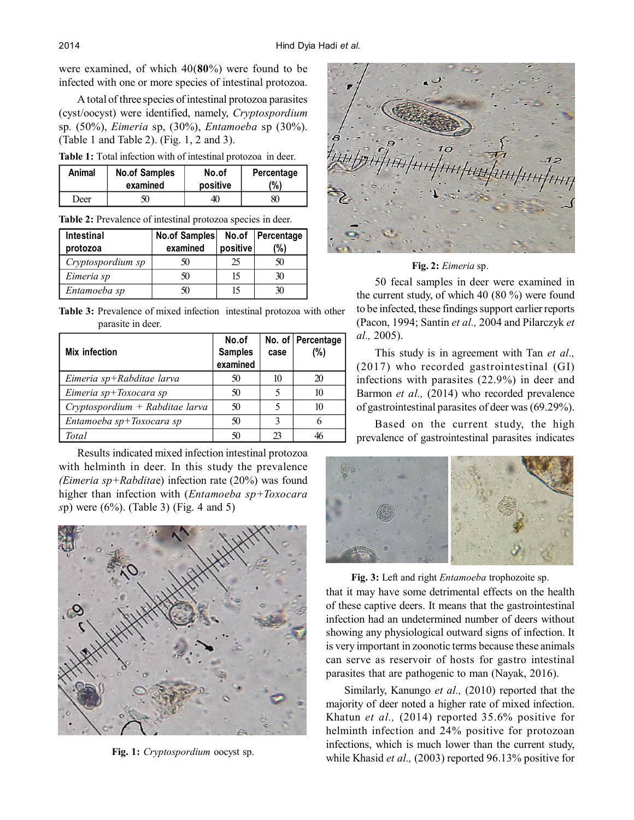were examined, of which 40(**80**%) were found to be infected with one or more species of intestinal protozoa.

A total of three species of intestinal protozoa parasites (cyst/oocyst) were identified, namely, *Cryptospordium* sp*.* (50%), *Eimeria* sp, (30%), *Entamoeba* sp (30%). (Table 1 and Table 2). (Fig. 1, 2 and 3).

**Table 1:** Total infection with of intestinal protozoa in deer.

| Animal | <b>No.of Samples</b> | No.of    | Percentage |  |
|--------|----------------------|----------|------------|--|
|        | examined             | positive | (%)        |  |
| Deer   | 50                   | 40       | 80         |  |

| Table 2: Prevalence of intestinal protozoa species in deer. |  |  |  |
|-------------------------------------------------------------|--|--|--|
|                                                             |  |  |  |

| Intestinal<br>protozoa | No.of Samples<br>examined | positive | No.of Percentage<br>(%) |
|------------------------|---------------------------|----------|-------------------------|
| Cryptospordium sp      | 50                        | 25       | 50                      |
| Eimeria sp             | 50                        | 15       | 30                      |
| Entamoeba sp           | 50                        | 15       | 30                      |

**Table 3:** Prevalence of mixed infection intestinal protozoa with other parasite in deer.

| Mix infection                     | No.of<br><b>Samples</b><br>examined | case          | No. of Percentage<br>(%) |
|-----------------------------------|-------------------------------------|---------------|--------------------------|
| Eimeria sp+Rabditae larva         | 50                                  |               | 20                       |
| Eimeria sp+Toxocara sp            | 50                                  |               | 10                       |
| $Cryptosportium + Rabditae larva$ | 50                                  |               | 10                       |
| Entamoeba sp+Toxocara sp          | 50                                  | 2             |                          |
| Total                             | 50                                  | $\mathcal{P}$ |                          |

Results indicated mixed infection intestinal protozoa with helminth in deer. In this study the prevalence *(Eimeria sp+Rabdita*e) infection rate (20%) was found higher than infection with (*Entamoeba sp+Toxocara s*p) were (6%). (Table 3) (Fig. 4 and 5)



**Fig. 1:** *Cryptospordium* oocyst sp.



**Fig. 2:** *Eimeria* sp.

50 fecal samples in deer were examined in the current study, of which 40 (80 %) were found to be infected, these findings support earlier reports (Pacon, 1994; Santin *et al.,* 2004 and Pilarczyk *et al.,* 2005).

This study is in agreement with Tan *et al.,* (2017) who recorded gastrointestinal (GI) infections with parasites (22.9%) in deer and Barmon *et al.,* (2014) who recorded prevalence of gastrointestinal parasites of deer was (69.29%).

Based on the current study, the high prevalence of gastrointestinal parasites indicates



**Fig. 3:** Left and right *Entamoeba* trophozoite sp.

that it may have some detrimental effects on the health of these captive deers. It means that the gastrointestinal infection had an undetermined number of deers without showing any physiological outward signs of infection. It is very important in zoonotic terms because these animals can serve as reservoir of hosts for gastro intestinal parasites that are pathogenic to man (Nayak, 2016).

Similarly, Kanungo *et al.,* (2010) reported that the majority of deer noted a higher rate of mixed infection. Khatun *et al.,* (2014) reported 35.6% positive for helminth infection and 24% positive for protozoan infections, which is much lower than the current study, while Khasid *et al.,* (2003) reported 96.13% positive for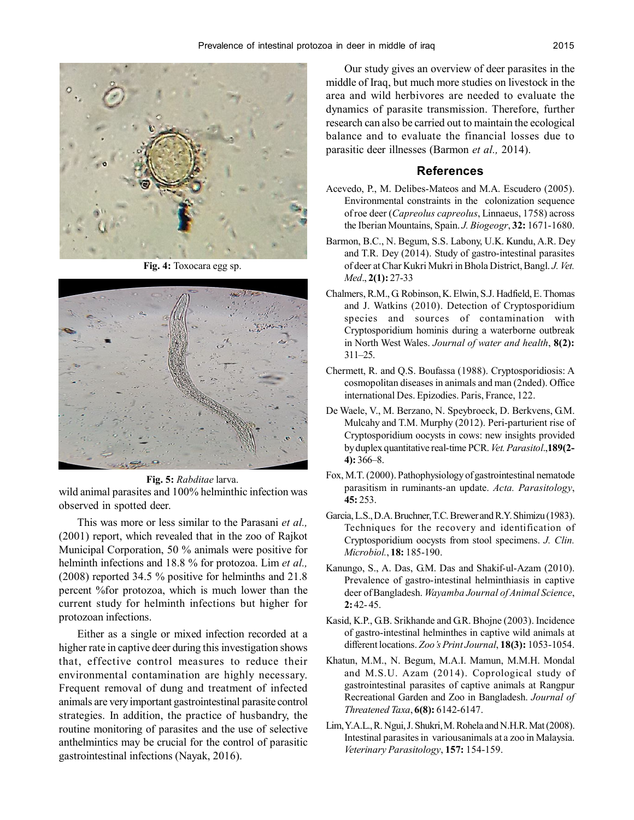

**Fig. 4:** Toxocara egg sp.



**Fig. 5:** *Rabditae* larva.

wild animal parasites and 100% helminthic infection was observed in spotted deer.

This was more or less similar to the Parasani *et al.,* (2001) report, which revealed that in the zoo of Rajkot Municipal Corporation, 50 % animals were positive for helminth infections and 18.8 % for protozoa. Lim *et al.,* (2008) reported 34.5 % positive for helminths and 21.8 percent %for protozoa, which is much lower than the current study for helminth infections but higher for protozoan infections.

Either as a single or mixed infection recorded at a higher rate in captive deer during this investigation shows that, effective control measures to reduce their environmental contamination are highly necessary. Frequent removal of dung and treatment of infected animals are very important gastrointestinal parasite control strategies. In addition, the practice of husbandry, the routine monitoring of parasites and the use of selective anthelmintics may be crucial for the control of parasitic gastrointestinal infections (Nayak, 2016).

Our study gives an overview of deer parasites in the middle of Iraq, but much more studies on livestock in the area and wild herbivores are needed to evaluate the dynamics of parasite transmission. Therefore, further research can also be carried out to maintain the ecological balance and to evaluate the financial losses due to parasitic deer illnesses (Barmon *et al.,* 2014).

## **References**

- Acevedo, P., M. Delibes-Mateos and M.A. Escudero (2005). Environmental constraints in the colonization sequence of roe deer (*Capreolus capreolus*, Linnaeus, 1758) across the Iberian Mountains, Spain. *J. Biogeogr*, **32:** 1671-1680.
- Barmon, B.C., N. Begum, S.S. Labony, U.K. Kundu, A.R. Dey and T.R. Dey (2014). Study of gastro-intestinal parasites of deer at Char Kukri Mukri in Bhola District, Bangl. *J. Vet. Med*., **2(1):** 27-33
- Chalmers, R.M., G. Robinson, K. Elwin, S.J. Hadfield, E. Thomas and J. Watkins (2010). Detection of Cryptosporidium species and sources of contamination with Cryptosporidium hominis during a waterborne outbreak in North West Wales. *Journal of water and health*, **8(2):** 311–25.
- Chermett, R. and Q.S. Boufassa (1988). Cryptosporidiosis: A cosmopolitan diseases in animals and man (2nded). Office international Des. Epizodies. Paris, France, 122.
- De Waele, V., M. Berzano, N. Speybroeck, D. Berkvens, G.M. Mulcahy and T.M. Murphy (2012). Peri-parturient rise of Cryptosporidium oocysts in cows: new insights provided by duplex quantitative real-time PCR. *Vet. Parasitol*.,**189(2- 4):** 366–8.
- Fox, M.T. (2000). Pathophysiology of gastrointestinal nematode parasitism in ruminants-an update. *Acta. Parasitology*, **45:** 253.
- Garcia, L.S., D.A. Bruchner, T.C. Brewer and R.Y. Shimizu (1983). Techniques for the recovery and identification of Cryptosporidium oocysts from stool specimens. *J. Clin. Microbiol.*, **18:** 185-190.
- Kanungo, S., A. Das, G.M. Das and Shakif-ul-Azam (2010). Prevalence of gastro-intestinal helminthiasis in captive deer of Bangladesh. *Wayamba Journal of Animal Science*, **2:** 42- 45.
- Kasid, K.P., G.B. Srikhande and G.R. Bhojne (2003). Incidence of gastro-intestinal helminthes in captive wild animals at different locations. *Zoo's Print Journal*, **18(3):** 1053-1054.
- Khatun, M.M., N. Begum, M.A.I. Mamun, M.M.H. Mondal and M.S.U. Azam (2014). Coprological study of gastrointestinal parasites of captive animals at Rangpur Recreational Garden and Zoo in Bangladesh. *Journal of Threatened Taxa*, **6(8):** 6142-6147.
- Lim, Y.A.L., R. Ngui, J. Shukri, M. Rohela and N.H.R. Mat (2008). Intestinal parasites in variousanimals at a zoo in Malaysia. *Veterinary Parasitology*, **157:** 154-159.